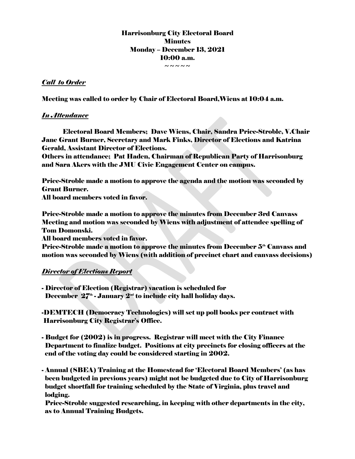# Harrisonburg City Electoral Board **Minutes** Monday – December 13, 2021 10:00 a.m.

 $\sim$   $\sim$   $\sim$   $\sim$ 

### *Call to Order*

Meeting was called to order by Chair of Electoral Board,Wiens at 10:04 a.m.

### *In Attendance*

Electoral Board Members; Dave Wiens, Chair, Sandra Price-Stroble, V.Chair Jane Grant Burner, Secretary and Mark Finks, Director of Elections and Katrina Gerald, Assistant Director of Elections.

Others in attendance; Pat Haden, Chairman of Republican Party of Harrisonburg and Sara Akers with the JMU Civic Engagement Center on campus.

Price-Stroble made a motion to approve the agenda and the motion was seconded by Grant Burner. All board members voted in favor.

Price-Stroble made a motion to approve the minutes from December 3rd Canvass Meeting and motion was seconded by Wiens with adjustment of attendee spelling of Tom Domonski.

All board members voted in favor.

Price-Stroble made a motion to approve the minutes from December  $5<sup>th</sup>$  Canvass and motion was seconded by Wiens (with addition of precinct chart and canvass decisions)

# *Director of Elections Report*

- Director of Election (Registrar) vacation is scheduled for December  $27<sup>th</sup>$  - January  $2<sup>nd</sup>$  to include city hall holiday days.

-DEMTECH (Democracy Technologies) will set up poll books per contract with Harrisonburg City Registrar's Office.

- Budget for (2002) is in progress. Registrar will meet with the City Finance Department to finalize budget. Positions at city precincts for closing officers at the end of the voting day could be considered starting in 2002.
- Annual (SBEA) Training at the Homestead for 'Electoral Board Members' (as has been budgeted in previous years) might not be budgeted due to City of Harrisonburg budget shortfall for training scheduled by the State of Virginia, plus travel and lodging.

 Price-Stroble suggested researching, in keeping with other departments in the city, as to Annual Training Budgets.